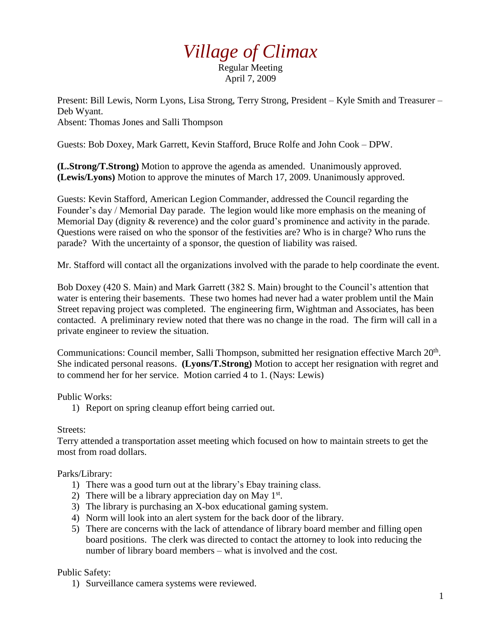# *Village of Climax*

Regular Meeting April 7, 2009

Present: Bill Lewis, Norm Lyons, Lisa Strong, Terry Strong, President – Kyle Smith and Treasurer – Deb Wyant. Absent: Thomas Jones and Salli Thompson

Guests: Bob Doxey, Mark Garrett, Kevin Stafford, Bruce Rolfe and John Cook – DPW.

**(L.Strong/T.Strong)** Motion to approve the agenda as amended. Unanimously approved. **(Lewis/Lyons)** Motion to approve the minutes of March 17, 2009. Unanimously approved.

Guests: Kevin Stafford, American Legion Commander, addressed the Council regarding the Founder's day / Memorial Day parade. The legion would like more emphasis on the meaning of Memorial Day (dignity & reverence) and the color guard's prominence and activity in the parade. Questions were raised on who the sponsor of the festivities are? Who is in charge? Who runs the parade? With the uncertainty of a sponsor, the question of liability was raised.

Mr. Stafford will contact all the organizations involved with the parade to help coordinate the event.

Bob Doxey (420 S. Main) and Mark Garrett (382 S. Main) brought to the Council's attention that water is entering their basements. These two homes had never had a water problem until the Main Street repaving project was completed. The engineering firm, Wightman and Associates, has been contacted. A preliminary review noted that there was no change in the road. The firm will call in a private engineer to review the situation.

Communications: Council member, Salli Thompson, submitted her resignation effective March 20<sup>th</sup>. She indicated personal reasons. **(Lyons/T.Strong)** Motion to accept her resignation with regret and to commend her for her service. Motion carried 4 to 1. (Nays: Lewis)

#### Public Works:

1) Report on spring cleanup effort being carried out.

## Streets:

Terry attended a transportation asset meeting which focused on how to maintain streets to get the most from road dollars.

#### Parks/Library:

- 1) There was a good turn out at the library's Ebay training class.
- 2) There will be a library appreciation day on May  $1<sup>st</sup>$ .
- 3) The library is purchasing an X-box educational gaming system.
- 4) Norm will look into an alert system for the back door of the library.
- 5) There are concerns with the lack of attendance of library board member and filling open board positions. The clerk was directed to contact the attorney to look into reducing the number of library board members – what is involved and the cost.

## Public Safety:

1) Surveillance camera systems were reviewed.